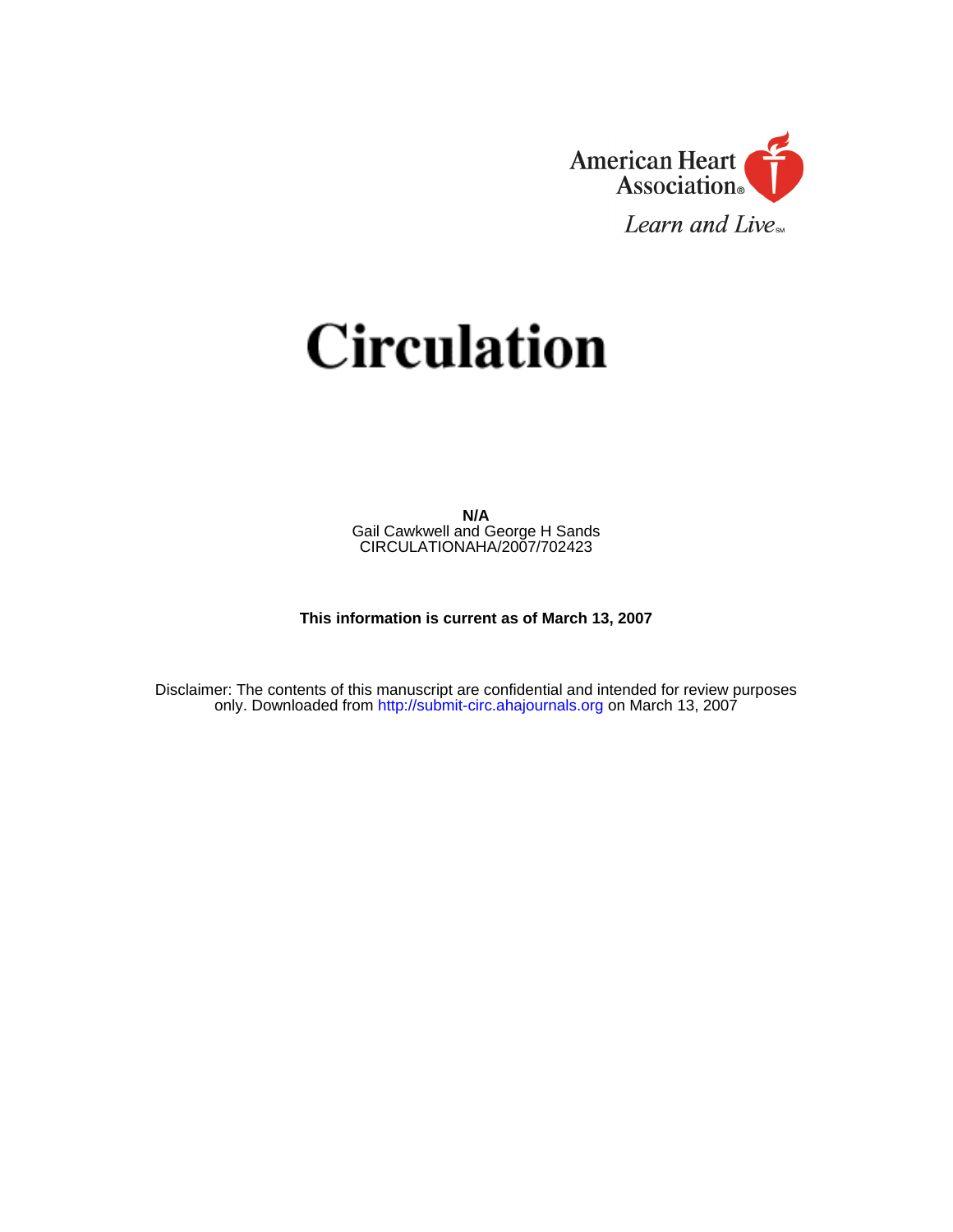

# **Circulation**

**N/A**  Gail Cawkwell and George H Sands CIRCULATIONAHA/2007/702423

**This information is current as of March 13, 2007** 

Disclaimer: The contents of this manuscript are confidential and intended for review purposes only. Downloaded fro[m http://submit-circ.ahajournals.org](https://circ-submit.aha-journals.org/cgi-bin/main.plex) on March 13, 2007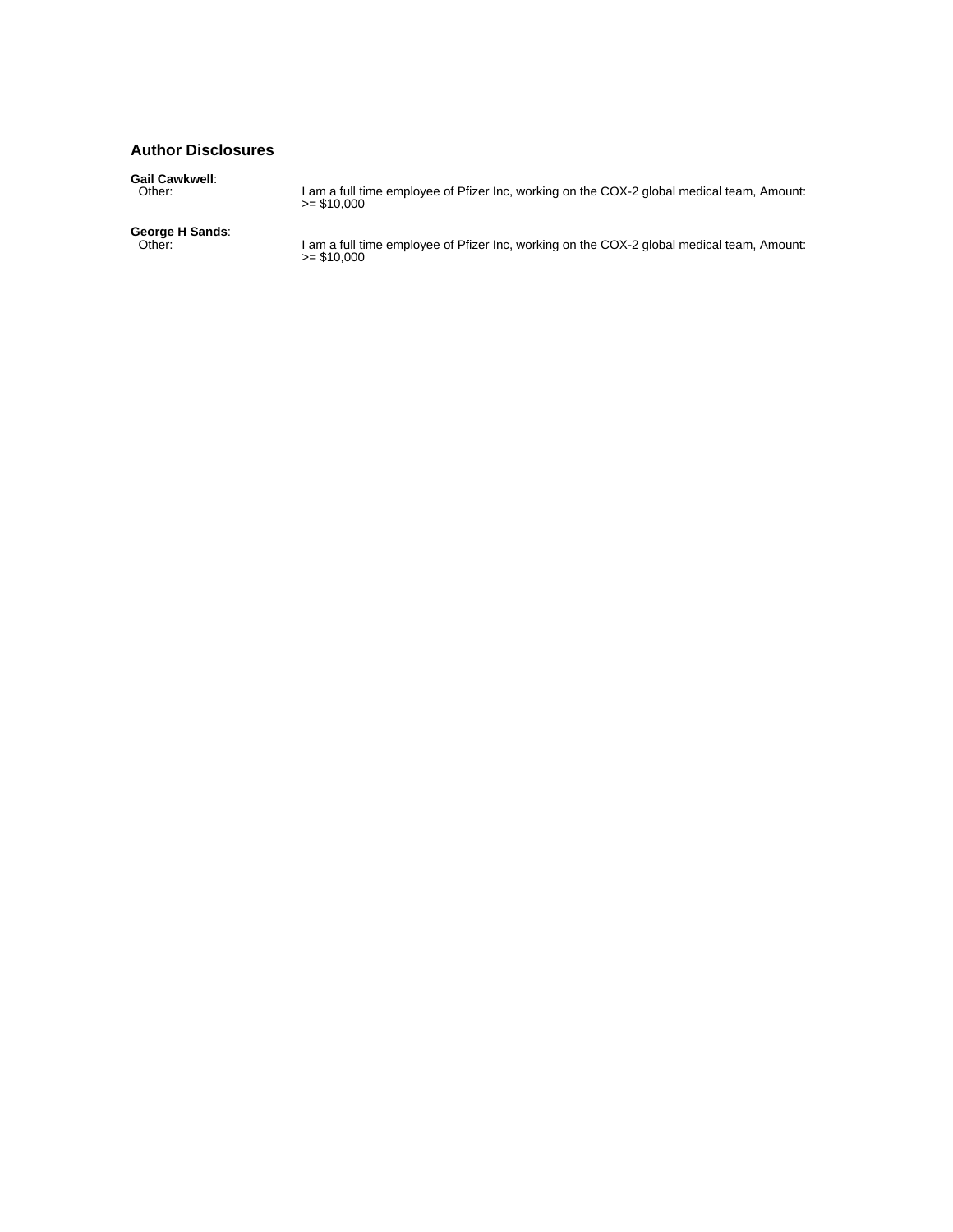## **Author Disclosures**

**Gail Cawkwell**: Other: I am a full time employee of Pfizer Inc, working on the COX-2 global medical team, Amount: >= \$10,000 **George H Sands**: Other: I am a full time employee of Pfizer Inc, working on the COX-2 global medical team, Amount: >= \$10,000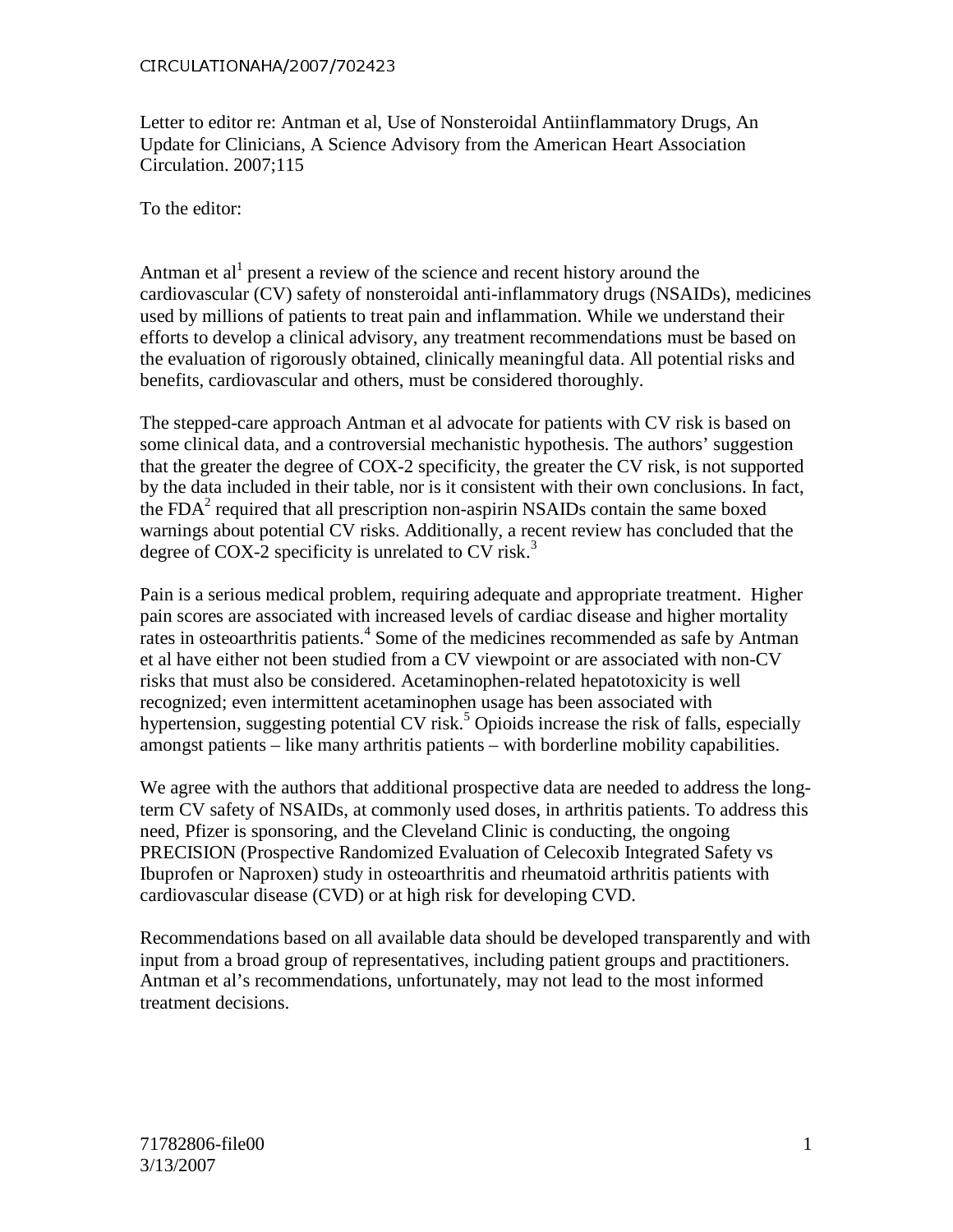Letter to editor re: Antman et al, Use of Nonsteroidal Antiinflammatory Drugs, An Update for Clinicians, A Science Advisory from the American Heart Association Circulation. 2007;115

To the editor:

 efforts to develop a clinical advisory, any treatment recommendations must be based on Letter to editor re: Antman et al, U<br>Update for Clinicians, A Science A<br>Circulation. 2007;115<br>To the editor:<br>Antman et al<sup>1</sup> present a review of cardiovascular (CV) safety of nons<br>used by millions of patients to trea<br>effo Antman et  $al^1$  present a review of the science and recent history around the cardiovascular (CV) safety of nonsteroidal anti-inflammatory drugs (NSAIDs), medicines used by millions of patients to treat pain and inflammation. While we understand their the evaluation of rigorously obtained, clinically meaningful data. All potential risks and benefits, cardiovascular and others, must be considered thoroughly.

 The stepped-care approach Antman et al advocate for patients with CV risk is based on some clinical data, and a controversial mechanistic hypothesis. The authors' suggestion by the data included in their table, nor is it consistent with their own conclusions. In fact, that the greater the degree of COX-2 specificity, the greater the CV risk, is not supported the  $FDA<sup>2</sup>$  required that all prescription non-aspirin NSAIDs contain the same boxed warnings about potential CV risks. Additionally, a recent review has concluded that the degree of COX-2 specificity is unrelated to CV risk.<sup>3</sup>

 Pain is a serious medical problem, requiring adequate and appropriate treatment. Higher pain scores are associated with increased levels of cardiac disease and higher mortality rates in osteoarthritis patients.<sup>4</sup> Some of the medicines recommended as safe by Antman et al have either not been studied from a CV viewpoint or are associated with non-CV risks that must also be considered. Acetaminophen-related hepatotoxicity is well recognized; even intermittent acetaminophen usage has been associated with amongst patients – like many arthritis patients – with borderline mobility capabilities. hypertension, suggesting potential CV risk.<sup>5</sup> Opioids increase the risk of falls, especially

 need, Pfizer is sponsoring, and the Cleveland Clinic is conducting, the ongoing PRECISION (Prospective Randomized Evaluation of Celecoxib Integrated Safety vs We agree with the authors that additional prospective data are needed to address the longterm CV safety of NSAIDs, at commonly used doses, in arthritis patients. To address this Ibuprofen or Naproxen) study in osteoarthritis and rheumatoid arthritis patients with cardiovascular disease (CVD) or at high risk for developing CVD.

 Recommendations based on all available data should be developed transparently and with treatment decisions. input from a broad group of representatives, including patient groups and practitioners. Antman et al's recommendations, unfortunately, may not lead to the most informed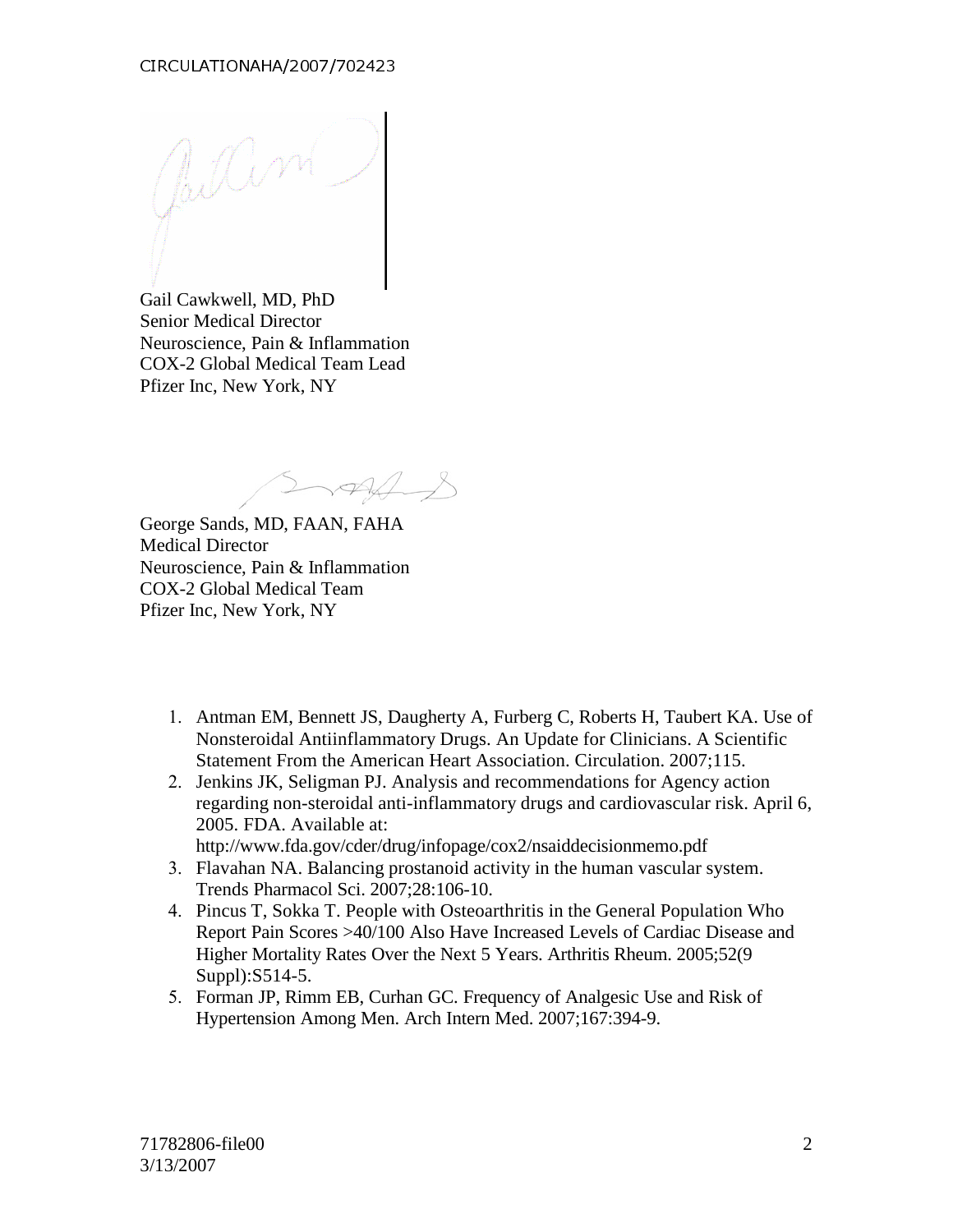CIRCULATIONAHA/2007/702423

Gail Cawkwell, MD, PhD Senior Medical Director Neuroscience, Pain & Inflammation COX-2 Global Medical Team Lead Pfizer Inc, New York, NY

George Sands, MD, FAAN, FAHA Medical Director Neuroscience, Pain & Inflammation COX-2 Global Medical Team Pfizer Inc, New York, NY

- 1. Antman EM, Bennett JS, Daugherty A, Furberg C, Roberts H, Taubert KA. Use of Nonsteroidal Antiinflammatory Drugs. An Update for Clinicians. A Scientific Statement From the American Heart Association. Circulation. 2007;115.
- 2. Jenkins JK, Seligman PJ. Analysis and recommendations for Agency action regarding non-steroidal anti-inflammatory drugs and cardiovascular risk. April 6, 2005. FDA. Available at:
	- http://www.fda.gov/cder/drug/infopage/cox2/nsaiddecisionmemo.pdf
- 3. Flavahan NA. Balancing prostanoid activity in the human vascular system. Trends Pharmacol Sci. 2007;28:106-10.
- 4. Pincus T, Sokka T. People with Osteoarthritis in the General Population Who Report Pain Scores >40/100 Also Have Increased Levels of Cardiac Disease and Higher Mortality Rates Over the Next 5 Years. Arthritis Rheum. 2005;52(9 Suppl):S514-5.
- 5. Forman JP, Rimm EB, Curhan GC. Frequency of Analgesic Use and Risk of Hypertension Among Men. Arch Intern Med. 2007;167:394-9.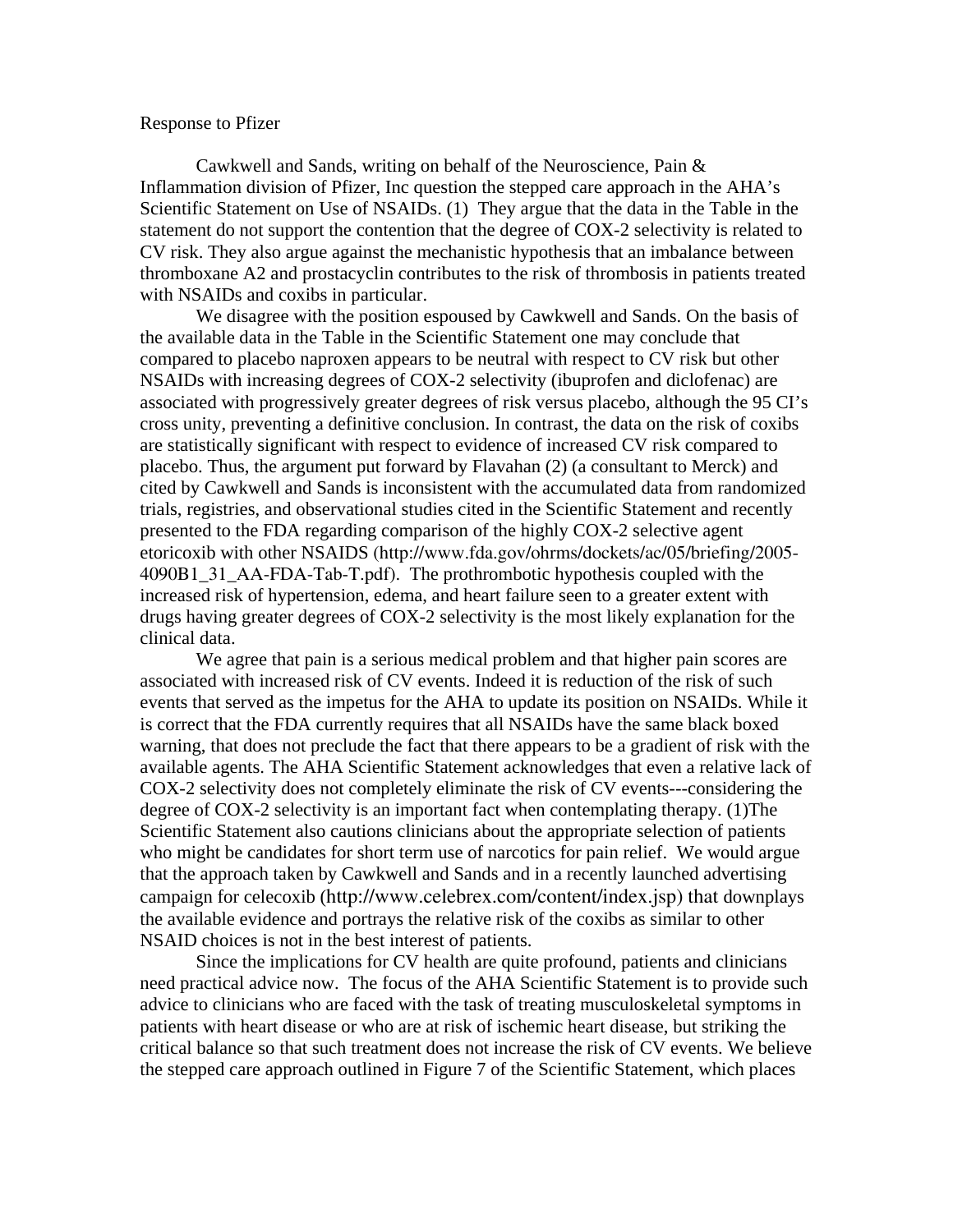### Response to Pfizer

Cawkwell and Sands, writing on behalf of the Neuroscience, Pain & Inflammation division of Pfizer, Inc question the stepped care approach in the AHA's Scientific Statement on Use of NSAIDs. (1) They argue that the data in the Table in the statement do not support the contention that the degree of COX-2 selectivity is related to CV risk. They also argue against the mechanistic hypothesis that an imbalance between thromboxane A2 and prostacyclin contributes to the risk of thrombosis in patients treated with NSAIDs and coxibs in particular.

 clinical data. We disagree with the position espoused by Cawkwell and Sands. On the basis of the available data in the Table in the Scientific Statement one may conclude that compared to placebo naproxen appears to be neutral with respect to CV risk but other NSAIDs with increasing degrees of COX-2 selectivity (ibuprofen and diclofenac) are associated with progressively greater degrees of risk versus placebo, although the 95 CI's cross unity, preventing a definitive conclusion. In contrast, the data on the risk of coxibs are statistically significant with respect to evidence of increased CV risk compared to placebo. Thus, the argument put forward by Flavahan (2) (a consultant to Merck) and cited by Cawkwell and Sands is inconsistent with the accumulated data from randomized trials, registries, and observational studies cited in the Scientific Statement and recently presented to the FDA regarding comparison of the highly COX-2 selective agent etoricoxib with other NSAIDS (http://www.fda.gov/ohrms/dockets/ac/05/briefing/2005- 4090B1\_31\_AA-FDA-Tab-T.pdf). The prothrombotic hypothesis coupled with the increased risk of hypertension, edema, and heart failure seen to a greater extent with drugs having greater degrees of COX-2 selectivity is the most likely explanation for the

We agree that pain is a serious medical problem and that higher pain scores are associated with increased risk of CV events. Indeed it is reduction of the risk of such events that served as the impetus for the AHA to update its position on NSAIDs. While it is correct that the FDA currently requires that all NSAIDs have the same black boxed warning, that does not preclude the fact that there appears to be a gradient of risk with the available agents. The AHA Scientific Statement acknowledges that even a relative lack of COX-2 selectivity does not completely eliminate the risk of CV events---considering the degree of COX-2 selectivity is an important fact when contemplating therapy. (1)The Scientific Statement also cautions clinicians about the appropriate selection of patients who might be candidates for short term use of narcotics for pain relief. We would argue that the approach taken by Cawkwell and Sands and in a recently launched advertising campaign for celecoxib (http://www.celebrex.com/content/index.jsp) that downplays the available evidence and portrays the relative risk of the coxibs as similar to other NSAID choices is not in the best interest of patients.

Since the implications for CV health are quite profound, patients and clinicians need practical advice now. The focus of the AHA Scientific Statement is to provide such advice to clinicians who are faced with the task of treating musculoskeletal symptoms in patients with heart disease or who are at risk of ischemic heart disease, but striking the critical balance so that such treatment does not increase the risk of CV events. We believe the stepped care approach outlined in Figure 7 of the Scientific Statement, which places